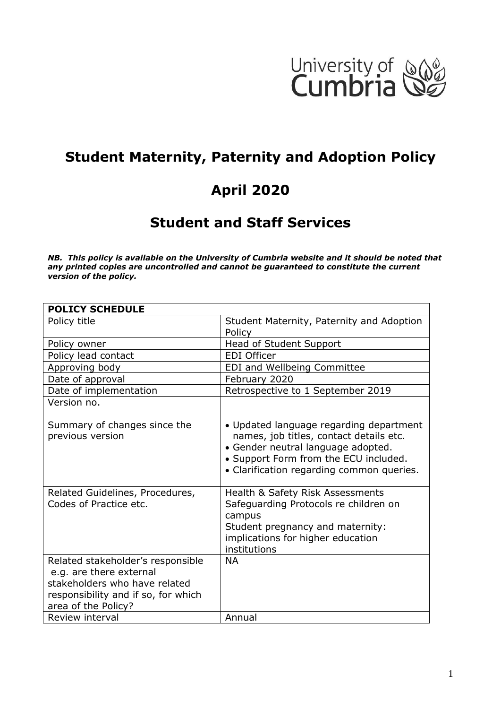

# **Student Maternity, Paternity and Adoption Policy**

# **April 2020**

# **Student and Staff Services**

*NB. This policy is available on the University of Cumbria website and it should be noted that any printed copies are uncontrolled and cannot be guaranteed to constitute the current version of the policy.*

| <b>POLICY SCHEDULE</b>                                                                                                                                      |                                                                                                                                                                                                                |
|-------------------------------------------------------------------------------------------------------------------------------------------------------------|----------------------------------------------------------------------------------------------------------------------------------------------------------------------------------------------------------------|
| Policy title                                                                                                                                                | Student Maternity, Paternity and Adoption                                                                                                                                                                      |
|                                                                                                                                                             | Policy                                                                                                                                                                                                         |
| Policy owner                                                                                                                                                | Head of Student Support                                                                                                                                                                                        |
| Policy lead contact                                                                                                                                         | <b>EDI Officer</b>                                                                                                                                                                                             |
| Approving body                                                                                                                                              | EDI and Wellbeing Committee                                                                                                                                                                                    |
| Date of approval                                                                                                                                            | February 2020                                                                                                                                                                                                  |
| Date of implementation                                                                                                                                      | Retrospective to 1 September 2019                                                                                                                                                                              |
| Version no.                                                                                                                                                 |                                                                                                                                                                                                                |
| Summary of changes since the<br>previous version                                                                                                            | • Updated language regarding department<br>names, job titles, contact details etc.<br>• Gender neutral language adopted.<br>• Support Form from the ECU included.<br>• Clarification regarding common queries. |
| Related Guidelines, Procedures,<br>Codes of Practice etc.                                                                                                   | Health & Safety Risk Assessments<br>Safeguarding Protocols re children on<br>campus<br>Student pregnancy and maternity:<br>implications for higher education<br>institutions                                   |
| Related stakeholder's responsible<br>e.g. are there external<br>stakeholders who have related<br>responsibility and if so, for which<br>area of the Policy? | <b>NA</b>                                                                                                                                                                                                      |
| Review interval                                                                                                                                             | Annual                                                                                                                                                                                                         |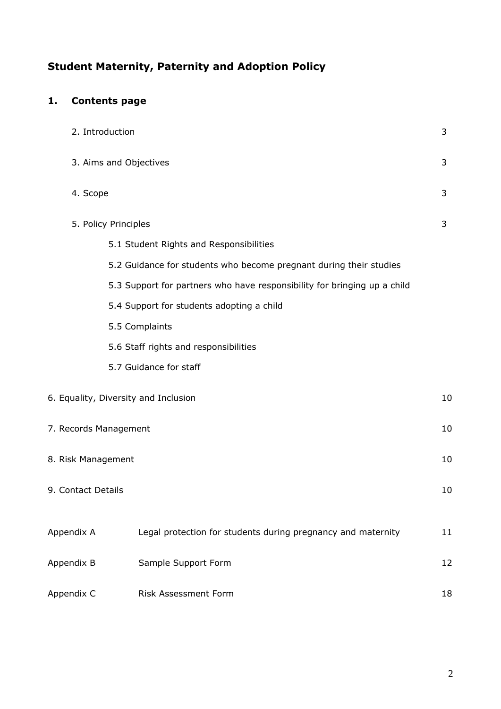# **Student Maternity, Paternity and Adoption Policy**

# **1. Contents page**

|                    | 2. Introduction                                                          | 3  |
|--------------------|--------------------------------------------------------------------------|----|
|                    | 3. Aims and Objectives                                                   | 3  |
| 4. Scope           |                                                                          | 3  |
|                    | 5. Policy Principles                                                     | 3  |
|                    | 5.1 Student Rights and Responsibilities                                  |    |
|                    | 5.2 Guidance for students who become pregnant during their studies       |    |
|                    | 5.3 Support for partners who have responsibility for bringing up a child |    |
|                    | 5.4 Support for students adopting a child                                |    |
|                    | 5.5 Complaints                                                           |    |
|                    | 5.6 Staff rights and responsibilities                                    |    |
|                    | 5.7 Guidance for staff                                                   |    |
|                    | 6. Equality, Diversity and Inclusion                                     | 10 |
|                    | 7. Records Management                                                    | 10 |
| 8. Risk Management |                                                                          | 10 |
| 9. Contact Details |                                                                          | 10 |
| Appendix A         | Legal protection for students during pregnancy and maternity             | 11 |
| Appendix B         | Sample Support Form                                                      | 12 |
| Appendix C         | Risk Assessment Form                                                     | 18 |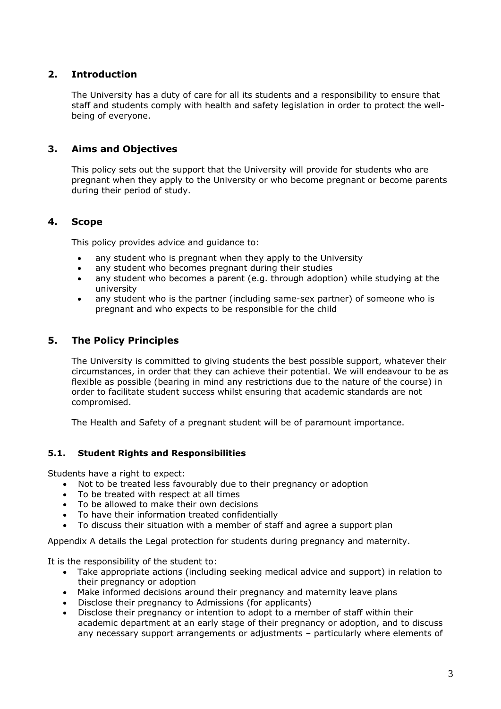#### **2. Introduction**

The University has a duty of care for all its students and a responsibility to ensure that staff and students comply with health and safety legislation in order to protect the wellbeing of everyone.

#### **3. Aims and Objectives**

This policy sets out the support that the University will provide for students who are pregnant when they apply to the University or who become pregnant or become parents during their period of study.

#### **4. Scope**

This policy provides advice and guidance to:

- any student who is pregnant when they apply to the University
- any student who becomes pregnant during their studies
- any student who becomes a parent (e.g. through adoption) while studying at the university
- any student who is the partner (including same-sex partner) of someone who is pregnant and who expects to be responsible for the child

#### **5. The Policy Principles**

The University is committed to giving students the best possible support, whatever their circumstances, in order that they can achieve their potential. We will endeavour to be as flexible as possible (bearing in mind any restrictions due to the nature of the course) in order to facilitate student success whilst ensuring that academic standards are not compromised.

The Health and Safety of a pregnant student will be of paramount importance.

#### **5.1. Student Rights and Responsibilities**

Students have a right to expect:

- Not to be treated less favourably due to their pregnancy or adoption
- To be treated with respect at all times
- To be allowed to make their own decisions
- To have their information treated confidentially
- To discuss their situation with a member of staff and agree a support plan

Appendix A details the Legal protection for students during pregnancy and maternity.

It is the responsibility of the student to:

- Take appropriate actions (including seeking medical advice and support) in relation to their pregnancy or adoption
- Make informed decisions around their pregnancy and maternity leave plans
- Disclose their pregnancy to Admissions (for applicants)
- Disclose their pregnancy or intention to adopt to a member of staff within their academic department at an early stage of their pregnancy or adoption, and to discuss any necessary support arrangements or adjustments – particularly where elements of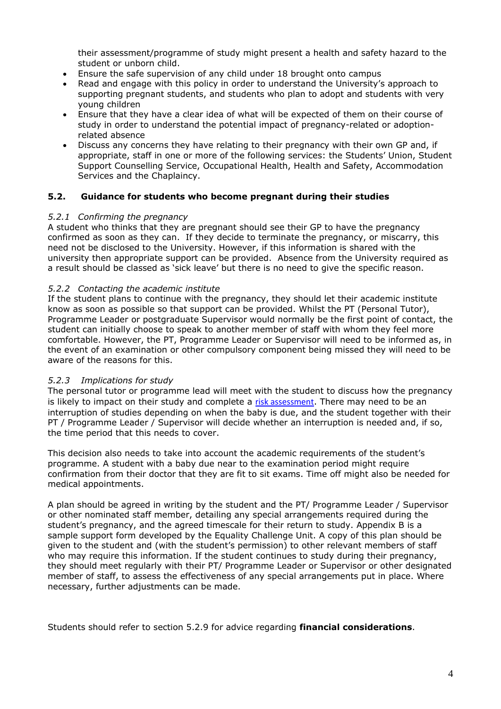their assessment/programme of study might present a health and safety hazard to the student or unborn child.

- Ensure the safe supervision of any child under 18 brought onto campus
- Read and engage with this policy in order to understand the University's approach to supporting pregnant students, and students who plan to adopt and students with very young children
- Ensure that they have a clear idea of what will be expected of them on their course of study in order to understand the potential impact of pregnancy-related or adoptionrelated absence
- Discuss any concerns they have relating to their pregnancy with their own GP and, if appropriate, staff in one or more of the following services: the Students' Union, Student Support Counselling Service, Occupational Health, Health and Safety, Accommodation Services and the Chaplaincy.

#### **5.2. Guidance for students who become pregnant during their studies**

#### *5.2.1 Confirming the pregnancy*

A student who thinks that they are pregnant should see their GP to have the pregnancy confirmed as soon as they can. If they decide to terminate the pregnancy, or miscarry, this need not be disclosed to the University. However, if this information is shared with the university then appropriate support can be provided. Absence from the University required as a result should be classed as 'sick leave' but there is no need to give the specific reason.

#### *5.2.2 Contacting the academic institute*

If the student plans to continue with the pregnancy, they should let their academic institute know as soon as possible so that support can be provided. Whilst the PT (Personal Tutor), Programme Leader or postgraduate Supervisor would normally be the first point of contact, the student can initially choose to speak to another member of staff with whom they feel more comfortable. However, the PT, Programme Leader or Supervisor will need to be informed as, in the event of an examination or other compulsory component being missed they will need to be aware of the reasons for this.

#### *5.2.3 Implications for study*

The personal tutor or programme lead will meet with the student to discuss how the pregnancy is likely to impact on their study and complete a [risk assessment](https://eur03.safelinks.protection.outlook.com/?url=https%3A%2F%2Funicumbriaac.sharepoint.com%2FSitePages%2FTasks.aspx&data=01%7C01%7Clee.mcdermott%40cumbria.ac.uk%7Cdf5a1096d62f4ae3a68e08d778a1c6f0%7Cb627db1d99584fd18ea48ac3b27cf00f%7C0&sdata=IkTZk%2BuT%2FVw2DPXQ8SlLcMDLqkE4rq5mq3zS9FxeOcM%3D&reserved=0). There may need to be an interruption of studies depending on when the baby is due, and the student together with their PT / Programme Leader / Supervisor will decide whether an interruption is needed and, if so, the time period that this needs to cover.

This decision also needs to take into account the academic requirements of the student's programme. A student with a baby due near to the examination period might require confirmation from their doctor that they are fit to sit exams. Time off might also be needed for medical appointments.

A plan should be agreed in writing by the student and the PT/ Programme Leader / Supervisor or other nominated staff member, detailing any special arrangements required during the student's pregnancy, and the agreed timescale for their return to study. Appendix B is a sample support form developed by the Equality Challenge Unit. A copy of this plan should be given to the student and (with the student's permission) to other relevant members of staff who may require this information. If the student continues to study during their pregnancy, they should meet regularly with their PT/ Programme Leader or Supervisor or other designated member of staff, to assess the effectiveness of any special arrangements put in place. Where necessary, further adjustments can be made.

Students should refer to section 5.2.9 for advice regarding **financial considerations**.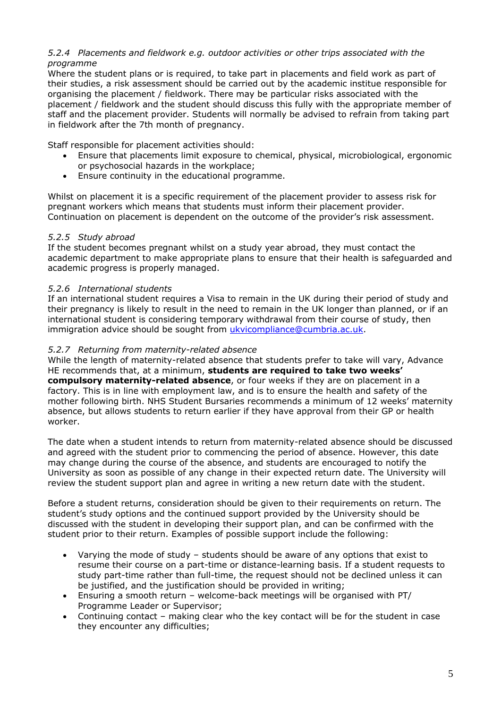#### *5.2.4 Placements and fieldwork e.g. outdoor activities or other trips associated with the programme*

Where the student plans or is required, to take part in placements and field work as part of their studies, a risk assessment should be carried out by the academic institue responsible for organising the placement / fieldwork. There may be particular risks associated with the placement / fieldwork and the student should discuss this fully with the appropriate member of staff and the placement provider. Students will normally be advised to refrain from taking part in fieldwork after the 7th month of pregnancy.

Staff responsible for placement activities should:

- Ensure that placements limit exposure to chemical, physical, microbiological, ergonomic or psychosocial hazards in the workplace;
- Ensure continuity in the educational programme.

Whilst on placement it is a specific requirement of the placement provider to assess risk for pregnant workers which means that students must inform their placement provider. Continuation on placement is dependent on the outcome of the provider's risk assessment.

#### *5.2.5 Study abroad*

If the student becomes pregnant whilst on a study year abroad, they must contact the academic department to make appropriate plans to ensure that their health is safeguarded and academic progress is properly managed.

#### *5.2.6 International students*

If an international student requires a Visa to remain in the UK during their period of study and their pregnancy is likely to result in the need to remain in the UK longer than planned, or if an international student is considering temporary withdrawal from their course of study, then immigration advice should be sought from [ukvicompliance@cumbria.ac.uk.](mailto:ukvicompliance@cumbria.ac.uk)

#### *5.2.7 Returning from maternity-related absence*

While the length of maternity-related absence that students prefer to take will vary, Advance HE recommends that, at a minimum, **students are required to take two weeks' compulsory maternity-related absence**, or four weeks if they are on placement in a factory. This is in line with employment law, and is to ensure the health and safety of the mother following birth. NHS Student Bursaries recommends a minimum of 12 weeks' maternity absence, but allows students to return earlier if they have approval from their GP or health worker.

The date when a student intends to return from maternity-related absence should be discussed and agreed with the student prior to commencing the period of absence. However, this date may change during the course of the absence, and students are encouraged to notify the University as soon as possible of any change in their expected return date. The University will review the student support plan and agree in writing a new return date with the student.

Before a student returns, consideration should be given to their requirements on return. The student's study options and the continued support provided by the University should be discussed with the student in developing their support plan, and can be confirmed with the student prior to their return. Examples of possible support include the following:

- Varying the mode of study students should be aware of any options that exist to resume their course on a part-time or distance-learning basis. If a student requests to study part-time rather than full-time, the request should not be declined unless it can be justified, and the justification should be provided in writing;
- Ensuring a smooth return welcome-back meetings will be organised with PT/ Programme Leader or Supervisor;
- Continuing contact making clear who the key contact will be for the student in case they encounter any difficulties;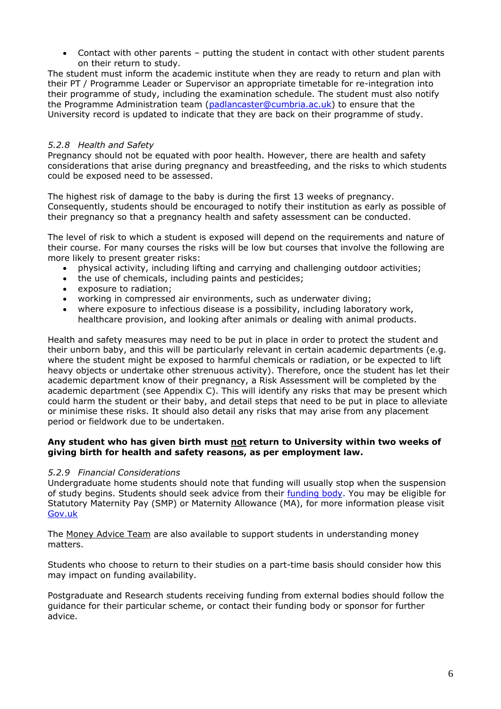• Contact with other parents – putting the student in contact with other student parents on their return to study.

The student must inform the academic institute when they are ready to return and plan with their PT / Programme Leader or Supervisor an appropriate timetable for re-integration into their programme of study, including the examination schedule. The student must also notify the Programme Administration team [\(padlancaster@cumbria.ac.uk\)](mailto:padlancaster@cumbria.ac.uk) to ensure that the University record is updated to indicate that they are back on their programme of study.

#### *5.2.8 Health and Safety*

Pregnancy should not be equated with poor health. However, there are health and safety considerations that arise during pregnancy and breastfeeding, and the risks to which students could be exposed need to be assessed.

The highest risk of damage to the baby is during the first 13 weeks of pregnancy. Consequently, students should be encouraged to notify their institution as early as possible of their pregnancy so that a pregnancy health and safety assessment can be conducted.

The level of risk to which a student is exposed will depend on the requirements and nature of their course. For many courses the risks will be low but courses that involve the following are more likely to present greater risks:

- physical activity, including lifting and carrying and challenging outdoor activities;
- the use of chemicals, including paints and pesticides;
- exposure to radiation;
- working in compressed air environments, such as underwater diving;
- where exposure to infectious disease is a possibility, including laboratory work, healthcare provision, and looking after animals or dealing with animal products.

Health and safety measures may need to be put in place in order to protect the student and their unborn baby, and this will be particularly relevant in certain academic departments (e.g. where the student might be exposed to harmful chemicals or radiation, or be expected to lift heavy objects or undertake other strenuous activity). Therefore, once the student has let their academic department know of their pregnancy, a Risk Assessment will be completed by the academic department (see Appendix C). This will identify any risks that may be present which could harm the student or their baby, and detail steps that need to be put in place to alleviate or minimise these risks. It should also detail any risks that may arise from any placement period or fieldwork due to be undertaken.

#### **Any student who has given birth must not return to University within two weeks of giving birth for health and safety reasons, as per employment law.**

#### *5.2.9 Financial Considerations*

Undergraduate home students should note that funding will usually stop when the suspension of study begins. Students should seek advice from their [funding body.](https://www.gov.uk/student-finance) You may be eligible for Statutory Maternity Pay (SMP) or Maternity Allowance (MA), for more information please visit [Gov.uk](https://www.gov.uk/browse/benefits/families)

The [Money Advice Team](mailto:moneyadvice@cumbria.ac.uk) are also available to support students in understanding money matters.

Students who choose to return to their studies on a part-time basis should consider how this may impact on funding availability.

Postgraduate and Research students receiving funding from external bodies should follow the guidance for their particular scheme, or contact their funding body or sponsor for further advice.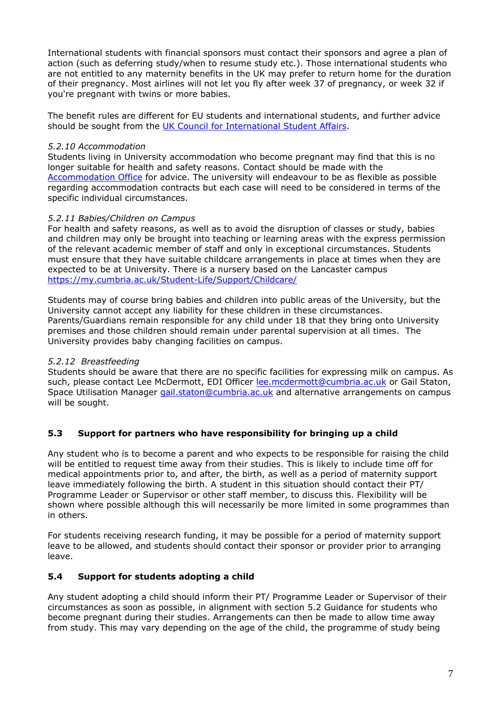International students with financial sponsors must contact their sponsors and agree a plan of action (such as deferring study/when to resume study etc.). Those international students who are not entitled to any maternity benefits in the UK may prefer to return home for the duration of their pregnancy. Most airlines will not let you fly after week 37 of pregnancy, or week 32 if you're pregnant with twins or more babies.

The benefit rules are different for EU students and international students, and further advice should be sought from the [UK Council for International Student Affairs.](https://www.ukcisa.org.uk/)

#### *5.2.10 Accommodation*

Students living in University accommodation who become pregnant may find that this is no longer suitable for health and safety reasons. Contact should be made with the [Accommodation Office](https://www.cumbria.ac.uk/student-life/accommodation/) for advice. The university will endeavour to be as flexible as possible regarding accommodation contracts but each case will need to be considered in terms of the specific individual circumstances.

#### *5.2.11 Babies/Children on Campus*

For health and safety reasons, as well as to avoid the disruption of classes or study, babies and children may only be brought into teaching or learning areas with the express permission of the relevant academic member of staff and only in exceptional circumstances. Students must ensure that they have suitable childcare arrangements in place at times when they are expected to be at University. There is a nursery based on the Lancaster campus [https://my.cumbria.ac.uk/Student-Life/Support/Childcare/](https://eur03.safelinks.protection.outlook.com/?url=https%3A%2F%2Fmy.cumbria.ac.uk%2FStudent-Life%2FSupport%2FChildcare%2F&data=01%7C01%7Clee.mcdermott%40cumbria.ac.uk%7C33a743d93e2342cb42d608d6e438fe07%7Cb627db1d99584fd18ea48ac3b27cf00f%7C0&sdata=4VbCrHYch4Az%2BkOtS%2FlF1TfIjfJKClAFTxm7UptHFHc%3D&reserved=0)

Students may of course bring babies and children into public areas of the University, but the University cannot accept any liability for these children in these circumstances. Parents/Guardians remain responsible for any child under 18 that they bring onto University premises and those children should remain under parental supervision at all times. The University provides baby changing facilities on campus.

#### *5.2.12 Breastfeeding*

Students should be aware that there are no specific facilities for expressing milk on campus. As such, please contact Lee McDermott, EDI Officer [lee.mcdermott@cumbria.ac.uk](mailto:lee.mcdermott@cumbria.ac.uk) or Gail Staton, Space Utilisation Manager [gail.staton@cumbria.ac.uk](mailto:gail.staton@cumbria.ac.uk) and alternative arrangements on campus will be sought.

#### **5.3 Support for partners who have responsibility for bringing up a child**

Any student who is to become a parent and who expects to be responsible for raising the child will be entitled to request time away from their studies. This is likely to include time off for medical appointments prior to, and after, the birth, as well as a period of maternity support leave immediately following the birth. A student in this situation should contact their PT/ Programme Leader or Supervisor or other staff member, to discuss this. Flexibility will be shown where possible although this will necessarily be more limited in some programmes than in others.

For students receiving research funding, it may be possible for a period of maternity support leave to be allowed, and students should contact their sponsor or provider prior to arranging leave.

#### **5.4 Support for students adopting a child**

Any student adopting a child should inform their PT/ Programme Leader or Supervisor of their circumstances as soon as possible, in alignment with section 5.2 Guidance for students who become pregnant during their studies. Arrangements can then be made to allow time away from study. This may vary depending on the age of the child, the programme of study being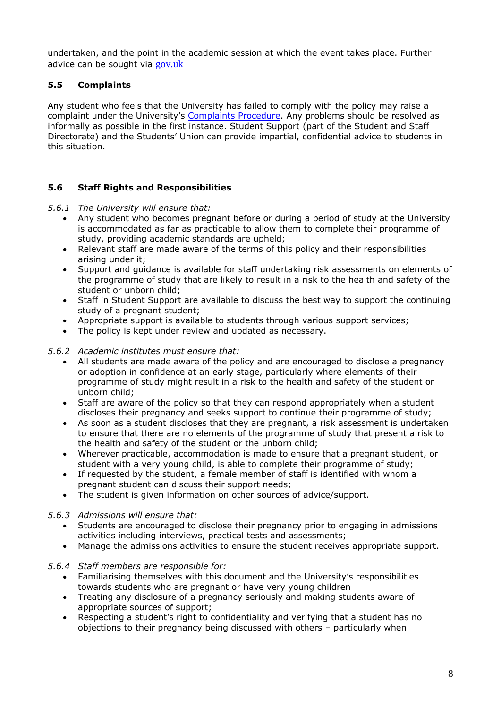undertaken, and the point in the academic session at which the event takes place. Further advice can be sought via [gov.uk](https://eur03.safelinks.protection.outlook.com/?url=https%3A%2F%2Fwww.gov.uk%2Fadoption-pay-leave%2Fleave&data=01%7C01%7Clee.mcdermott%40cumbria.ac.uk%7Cc6ea1755cdb84b9778c508d74195781e%7Cb627db1d99584fd18ea48ac3b27cf00f%7C0&sdata=WMlyCJ0aEorRgIyKoxPJpviJZPBk8kQ2zFQUyItcmRo%3D&reserved=0)

#### **5.5 Complaints**

Any student who feels that the University has failed to comply with the policy may raise a complaint under the University's [Complaints Procedure.](https://my.cumbria.ac.uk/Student-Life/Support/Responding-to-your-concerns/Student-Complaints-Procedure/) Any problems should be resolved as informally as possible in the first instance. Student Support (part of the Student and Staff Directorate) and the Students' Union can provide impartial, confidential advice to students in this situation.

#### **5.6 Staff Rights and Responsibilities**

*5.6.1 The University will ensure that:*

- Any student who becomes pregnant before or during a period of study at the University is accommodated as far as practicable to allow them to complete their programme of study, providing academic standards are upheld;
- Relevant staff are made aware of the terms of this policy and their responsibilities arising under it;
- Support and guidance is available for staff undertaking risk assessments on elements of the programme of study that are likely to result in a risk to the health and safety of the student or unborn child;
- Staff in Student Support are available to discuss the best way to support the continuing study of a pregnant student;
- Appropriate support is available to students through various support services;
- The policy is kept under review and updated as necessary.

#### *5.6.2 Academic institutes must ensure that:*

- All students are made aware of the policy and are encouraged to disclose a pregnancy or adoption in confidence at an early stage, particularly where elements of their programme of study might result in a risk to the health and safety of the student or unborn child;
- Staff are aware of the policy so that they can respond appropriately when a student discloses their pregnancy and seeks support to continue their programme of study;
- As soon as a student discloses that they are pregnant, a risk assessment is undertaken to ensure that there are no elements of the programme of study that present a risk to the health and safety of the student or the unborn child;
- Wherever practicable, accommodation is made to ensure that a pregnant student, or student with a very young child, is able to complete their programme of study;
- If requested by the student, a female member of staff is identified with whom a pregnant student can discuss their support needs;
- The student is given information on other sources of advice/support.

#### *5.6.3 Admissions will ensure that:*

- Students are encouraged to disclose their pregnancy prior to engaging in admissions activities including interviews, practical tests and assessments;
- Manage the admissions activities to ensure the student receives appropriate support.

#### *5.6.4 Staff members are responsible for:*

- Familiarising themselves with this document and the University's responsibilities towards students who are pregnant or have very young children
- Treating any disclosure of a pregnancy seriously and making students aware of appropriate sources of support;
- Respecting a student's right to confidentiality and verifying that a student has no objections to their pregnancy being discussed with others – particularly when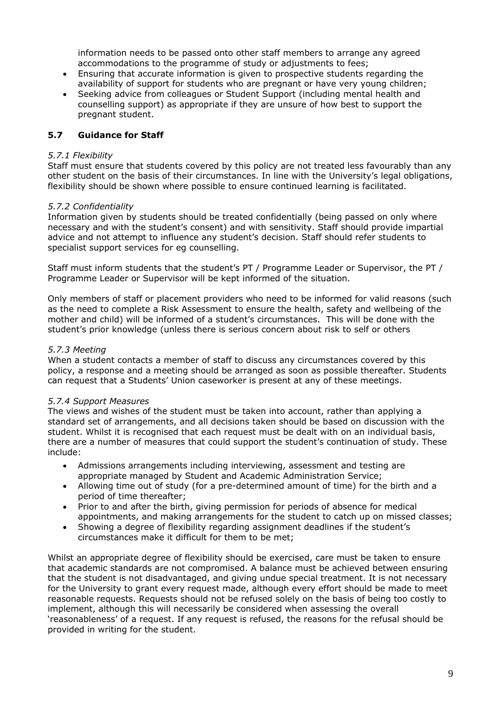information needs to be passed onto other staff members to arrange any agreed accommodations to the programme of study or adjustments to fees;

- Ensuring that accurate information is given to prospective students regarding the availability of support for students who are pregnant or have very young children;
- Seeking advice from colleagues or Student Support (including mental health and counselling support) as appropriate if they are unsure of how best to support the pregnant student.

#### **5.7 Guidance for Staff**

#### *5.7.1 Flexibility*

Staff must ensure that students covered by this policy are not treated less favourably than any other student on the basis of their circumstances. In line with the University's legal obligations, flexibility should be shown where possible to ensure continued learning is facilitated.

#### *5.7.2 Confidentiality*

Information given by students should be treated confidentially (being passed on only where necessary and with the student's consent) and with sensitivity. Staff should provide impartial advice and not attempt to influence any student's decision. Staff should refer students to specialist support services for eg counselling.

Staff must inform students that the student's PT / Programme Leader or Supervisor, the PT / Programme Leader or Supervisor will be kept informed of the situation.

Only members of staff or placement providers who need to be informed for valid reasons (such as the need to complete a Risk Assessment to ensure the health, safety and wellbeing of the mother and child) will be informed of a student's circumstances. This will be done with the student's prior knowledge (unless there is serious concern about risk to self or others

#### *5.7.3 Meeting*

When a student contacts a member of staff to discuss any circumstances covered by this policy, a response and a meeting should be arranged as soon as possible thereafter. Students can request that a Students' Union caseworker is present at any of these meetings.

#### *5.7.4 Support Measures*

The views and wishes of the student must be taken into account, rather than applying a standard set of arrangements, and all decisions taken should be based on discussion with the student. Whilst it is recognised that each request must be dealt with on an individual basis, there are a number of measures that could support the student's continuation of study. These include:

- Admissions arrangements including interviewing, assessment and testing are appropriate managed by Student and Academic Administration Service;
- Allowing time out of study (for a pre-determined amount of time) for the birth and a period of time thereafter;
- Prior to and after the birth, giving permission for periods of absence for medical appointments, and making arrangements for the student to catch up on missed classes;
- Showing a degree of flexibility regarding assignment deadlines if the student's circumstances make it difficult for them to be met;

Whilst an appropriate degree of flexibility should be exercised, care must be taken to ensure that academic standards are not compromised. A balance must be achieved between ensuring that the student is not disadvantaged, and giving undue special treatment. It is not necessary for the University to grant every request made, although every effort should be made to meet reasonable requests. Requests should not be refused solely on the basis of being too costly to implement, although this will necessarily be considered when assessing the overall 'reasonableness' of a request. If any request is refused, the reasons for the refusal should be provided in writing for the student.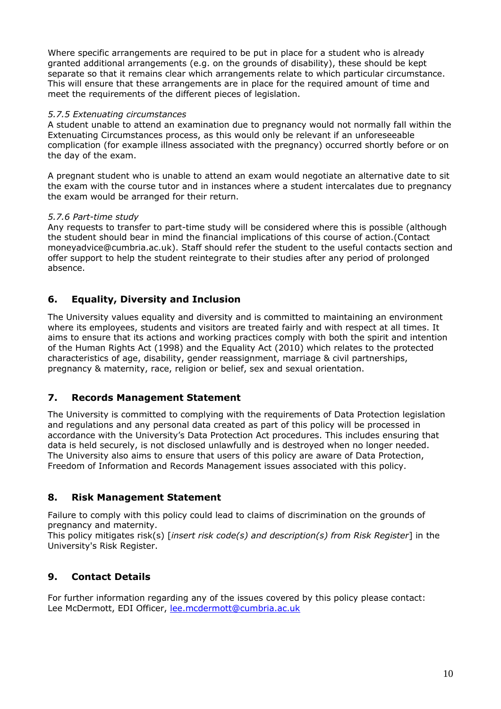Where specific arrangements are required to be put in place for a student who is already granted additional arrangements (e.g. on the grounds of disability), these should be kept separate so that it remains clear which arrangements relate to which particular circumstance. This will ensure that these arrangements are in place for the required amount of time and meet the requirements of the different pieces of legislation.

#### *5.7.5 Extenuating circumstances*

A student unable to attend an examination due to pregnancy would not normally fall within the Extenuating Circumstances process, as this would only be relevant if an unforeseeable complication (for example illness associated with the pregnancy) occurred shortly before or on the day of the exam.

A pregnant student who is unable to attend an exam would negotiate an alternative date to sit the exam with the course tutor and in instances where a student intercalates due to pregnancy the exam would be arranged for their return.

#### *5.7.6 Part-time study*

Any requests to transfer to part-time study will be considered where this is possible (although the student should bear in mind the financial implications of this course of action.(Contact moneyadvice@cumbria.ac.uk). Staff should refer the student to the useful contacts section and offer support to help the student reintegrate to their studies after any period of prolonged absence.

### **6. Equality, Diversity and Inclusion**

The University values equality and diversity and is committed to maintaining an environment where its employees, students and visitors are treated fairly and with respect at all times. It aims to ensure that its actions and working practices comply with both the spirit and intention of the Human Rights Act (1998) and the Equality Act (2010) which relates to the protected characteristics of age, disability, gender reassignment, marriage & civil partnerships, pregnancy & maternity, race, religion or belief, sex and sexual orientation.

#### **7. Records Management Statement**

The University is committed to complying with the requirements of Data Protection legislation and regulations and any personal data created as part of this policy will be processed in accordance with the University's Data Protection Act procedures. This includes ensuring that data is held securely, is not disclosed unlawfully and is destroyed when no longer needed. The University also aims to ensure that users of this policy are aware of Data Protection, Freedom of Information and Records Management issues associated with this policy.

#### **8. Risk Management Statement**

Failure to comply with this policy could lead to claims of discrimination on the grounds of pregnancy and maternity.

This policy mitigates risk(s) [*insert risk code(s) and description(s) from Risk Register*] in the University's Risk Register.

### **9. Contact Details**

For further information regarding any of the issues covered by this policy please contact: Lee McDermott, EDI Officer, [lee.mcdermott@cumbria.ac.uk](mailto:lee.mcdermott@cumbria.ac.uk)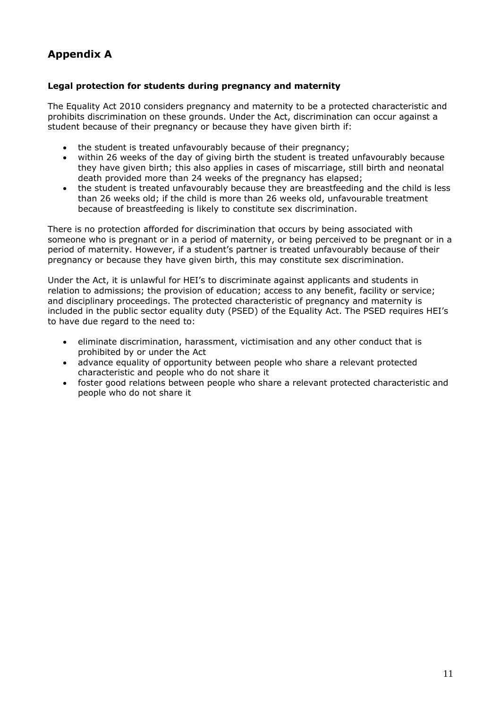### **Appendix A**

#### **Legal protection for students during pregnancy and maternity**

The Equality Act 2010 considers pregnancy and maternity to be a protected characteristic and prohibits discrimination on these grounds. Under the Act, discrimination can occur against a student because of their pregnancy or because they have given birth if:

- the student is treated unfavourably because of their pregnancy;
- within 26 weeks of the day of giving birth the student is treated unfavourably because they have given birth; this also applies in cases of miscarriage, still birth and neonatal death provided more than 24 weeks of the pregnancy has elapsed;
- the student is treated unfavourably because they are breastfeeding and the child is less than 26 weeks old; if the child is more than 26 weeks old, unfavourable treatment because of breastfeeding is likely to constitute sex discrimination.

There is no protection afforded for discrimination that occurs by being associated with someone who is pregnant or in a period of maternity, or being perceived to be pregnant or in a period of maternity. However, if a student's partner is treated unfavourably because of their pregnancy or because they have given birth, this may constitute sex discrimination.

Under the Act, it is unlawful for HEI's to discriminate against applicants and students in relation to admissions; the provision of education; access to any benefit, facility or service; and disciplinary proceedings. The protected characteristic of pregnancy and maternity is included in the public sector equality duty (PSED) of the Equality Act. The PSED requires HEI's to have due regard to the need to:

- eliminate discrimination, harassment, victimisation and any other conduct that is prohibited by or under the Act
- advance equality of opportunity between people who share a relevant protected characteristic and people who do not share it
- foster good relations between people who share a relevant protected characteristic and people who do not share it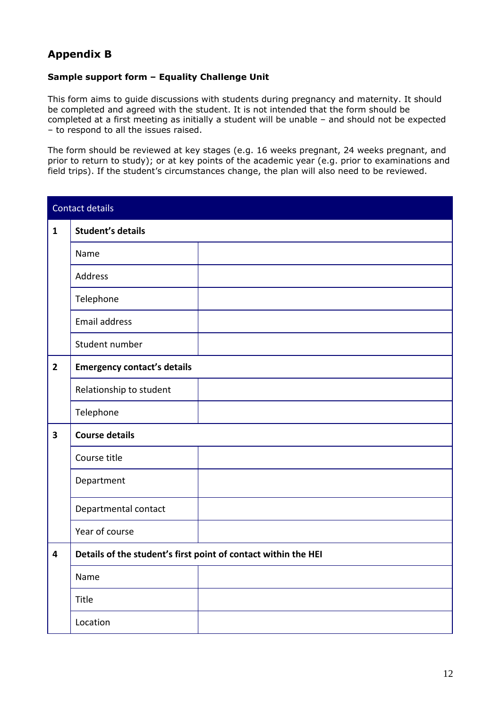### **Appendix B**

#### **Sample support form – Equality Challenge Unit**

This form aims to guide discussions with students during pregnancy and maternity. It should be completed and agreed with the student. It is not intended that the form should be completed at a first meeting as initially a student will be unable – and should not be expected – to respond to all the issues raised.

The form should be reviewed at key stages (e.g. 16 weeks pregnant, 24 weeks pregnant, and prior to return to study); or at key points of the academic year (e.g. prior to examinations and field trips). If the student's circumstances change, the plan will also need to be reviewed.

|                         | <b>Contact details</b>             |                                                                |
|-------------------------|------------------------------------|----------------------------------------------------------------|
| $\mathbf{1}$            | <b>Student's details</b>           |                                                                |
|                         | Name                               |                                                                |
|                         | Address                            |                                                                |
|                         | Telephone                          |                                                                |
|                         | <b>Email address</b>               |                                                                |
|                         | Student number                     |                                                                |
| $\overline{2}$          | <b>Emergency contact's details</b> |                                                                |
|                         | Relationship to student            |                                                                |
|                         | Telephone                          |                                                                |
| $\overline{\mathbf{3}}$ | <b>Course details</b>              |                                                                |
|                         | Course title                       |                                                                |
|                         | Department                         |                                                                |
|                         | Departmental contact               |                                                                |
|                         | Year of course                     |                                                                |
| $\overline{\mathbf{4}}$ |                                    | Details of the student's first point of contact within the HEI |
|                         | Name                               |                                                                |
|                         | Title                              |                                                                |
|                         | Location                           |                                                                |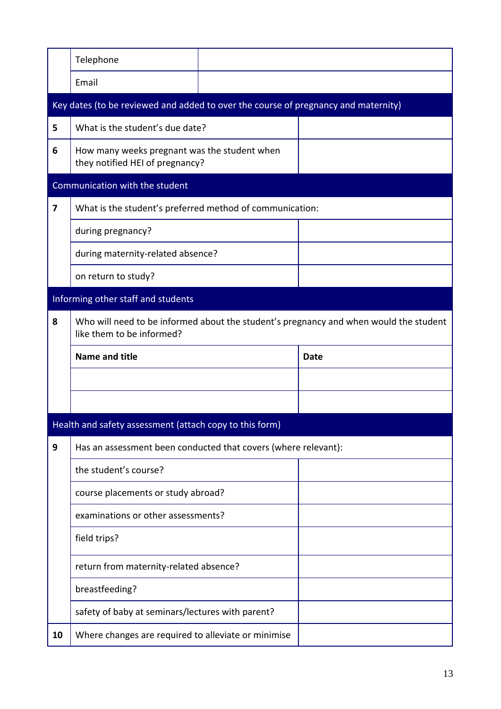|                         | Telephone                                                                          |                                                                                       |
|-------------------------|------------------------------------------------------------------------------------|---------------------------------------------------------------------------------------|
|                         | Email                                                                              |                                                                                       |
|                         | Key dates (to be reviewed and added to over the course of pregnancy and maternity) |                                                                                       |
| 5                       | What is the student's due date?                                                    |                                                                                       |
| 6                       | How many weeks pregnant was the student when<br>they notified HEI of pregnancy?    |                                                                                       |
|                         | Communication with the student                                                     |                                                                                       |
| $\overline{\mathbf{z}}$ | What is the student's preferred method of communication:                           |                                                                                       |
|                         | during pregnancy?                                                                  |                                                                                       |
|                         | during maternity-related absence?                                                  |                                                                                       |
|                         | on return to study?                                                                |                                                                                       |
|                         | Informing other staff and students                                                 |                                                                                       |
| 8                       | like them to be informed?                                                          | Who will need to be informed about the student's pregnancy and when would the student |
|                         |                                                                                    |                                                                                       |
|                         | <b>Name and title</b>                                                              | <b>Date</b>                                                                           |
|                         |                                                                                    |                                                                                       |
|                         |                                                                                    |                                                                                       |
|                         | Health and safety assessment (attach copy to this form)                            |                                                                                       |
| 9                       | Has an assessment been conducted that covers (where relevant):                     |                                                                                       |
|                         | the student's course?                                                              |                                                                                       |
|                         | course placements or study abroad?                                                 |                                                                                       |
|                         | examinations or other assessments?                                                 |                                                                                       |
|                         | field trips?                                                                       |                                                                                       |
|                         | return from maternity-related absence?                                             |                                                                                       |
|                         | breastfeeding?                                                                     |                                                                                       |
|                         | safety of baby at seminars/lectures with parent?                                   |                                                                                       |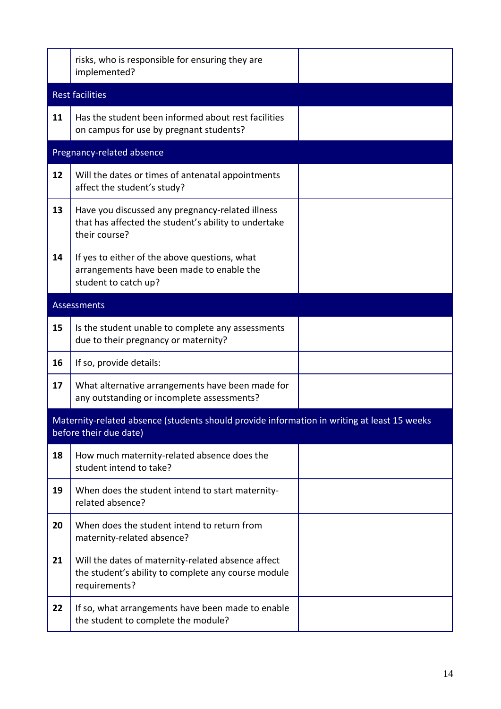|    | risks, who is responsible for ensuring they are<br>implemented?                                                            |  |
|----|----------------------------------------------------------------------------------------------------------------------------|--|
|    | <b>Rest facilities</b>                                                                                                     |  |
| 11 | Has the student been informed about rest facilities<br>on campus for use by pregnant students?                             |  |
|    | Pregnancy-related absence                                                                                                  |  |
| 12 | Will the dates or times of antenatal appointments<br>affect the student's study?                                           |  |
| 13 | Have you discussed any pregnancy-related illness<br>that has affected the student's ability to undertake<br>their course?  |  |
| 14 | If yes to either of the above questions, what<br>arrangements have been made to enable the<br>student to catch up?         |  |
|    | <b>Assessments</b>                                                                                                         |  |
| 15 | Is the student unable to complete any assessments<br>due to their pregnancy or maternity?                                  |  |
| 16 | If so, provide details:                                                                                                    |  |
| 17 | What alternative arrangements have been made for<br>any outstanding or incomplete assessments?                             |  |
|    | Maternity-related absence (students should provide information in writing at least 15 weeks<br>before their due date)      |  |
| 18 | How much maternity-related absence does the<br>student intend to take?                                                     |  |
| 19 | When does the student intend to start maternity-<br>related absence?                                                       |  |
| 20 | When does the student intend to return from<br>maternity-related absence?                                                  |  |
| 21 | Will the dates of maternity-related absence affect<br>the student's ability to complete any course module<br>requirements? |  |
| 22 | If so, what arrangements have been made to enable<br>the student to complete the module?                                   |  |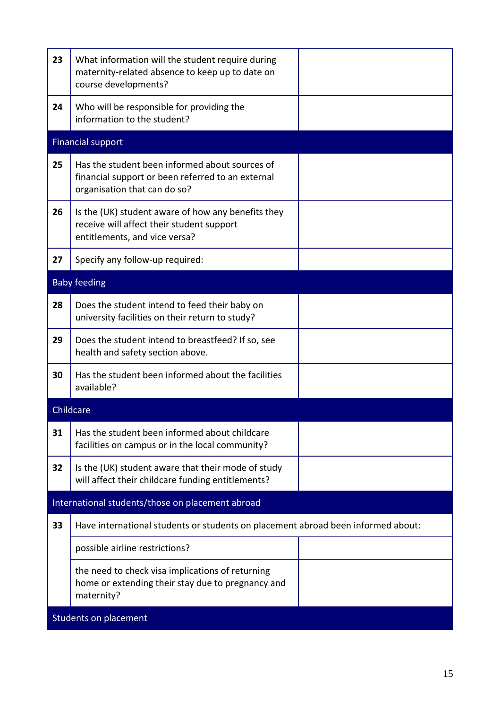| 23 | What information will the student require during<br>maternity-related absence to keep up to date on<br>course developments?         |  |
|----|-------------------------------------------------------------------------------------------------------------------------------------|--|
| 24 | Who will be responsible for providing the<br>information to the student?                                                            |  |
|    | <b>Financial support</b>                                                                                                            |  |
| 25 | Has the student been informed about sources of<br>financial support or been referred to an external<br>organisation that can do so? |  |
| 26 | Is the (UK) student aware of how any benefits they<br>receive will affect their student support<br>entitlements, and vice versa?    |  |
| 27 | Specify any follow-up required:                                                                                                     |  |
|    | <b>Baby feeding</b>                                                                                                                 |  |
| 28 | Does the student intend to feed their baby on<br>university facilities on their return to study?                                    |  |
| 29 | Does the student intend to breastfeed? If so, see<br>health and safety section above.                                               |  |
| 30 | Has the student been informed about the facilities<br>available?                                                                    |  |
|    | Childcare                                                                                                                           |  |
| 31 | Has the student been informed about childcare<br>facilities on campus or in the local community?                                    |  |
| 32 | Is the (UK) student aware that their mode of study<br>will affect their childcare funding entitlements?                             |  |
|    | International students/those on placement abroad                                                                                    |  |
| 33 | Have international students or students on placement abroad been informed about:                                                    |  |
|    | possible airline restrictions?                                                                                                      |  |
|    | the need to check visa implications of returning<br>home or extending their stay due to pregnancy and<br>maternity?                 |  |
|    | Students on placement                                                                                                               |  |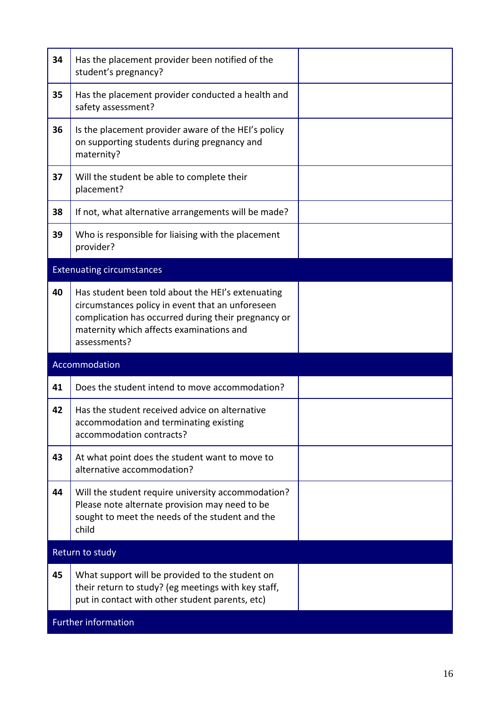| 34 | Has the placement provider been notified of the<br>student's pregnancy?                                                                                                                                                  |  |
|----|--------------------------------------------------------------------------------------------------------------------------------------------------------------------------------------------------------------------------|--|
| 35 | Has the placement provider conducted a health and<br>safety assessment?                                                                                                                                                  |  |
| 36 | Is the placement provider aware of the HEI's policy<br>on supporting students during pregnancy and<br>maternity?                                                                                                         |  |
| 37 | Will the student be able to complete their<br>placement?                                                                                                                                                                 |  |
| 38 | If not, what alternative arrangements will be made?                                                                                                                                                                      |  |
| 39 | Who is responsible for liaising with the placement<br>provider?                                                                                                                                                          |  |
|    | <b>Extenuating circumstances</b>                                                                                                                                                                                         |  |
| 40 | Has student been told about the HEI's extenuating<br>circumstances policy in event that an unforeseen<br>complication has occurred during their pregnancy or<br>maternity which affects examinations and<br>assessments? |  |
|    | Accommodation                                                                                                                                                                                                            |  |
| 41 | Does the student intend to move accommodation?                                                                                                                                                                           |  |
| 42 | Has the student received advice on alternative<br>accommodation and terminating existing<br>accommodation contracts?                                                                                                     |  |
| 43 | At what point does the student want to move to<br>alternative accommodation?                                                                                                                                             |  |
| 44 | Will the student require university accommodation?                                                                                                                                                                       |  |
|    | Please note alternate provision may need to be<br>sought to meet the needs of the student and the<br>child                                                                                                               |  |
|    | Return to study                                                                                                                                                                                                          |  |
| 45 | What support will be provided to the student on<br>their return to study? (eg meetings with key staff,<br>put in contact with other student parents, etc)                                                                |  |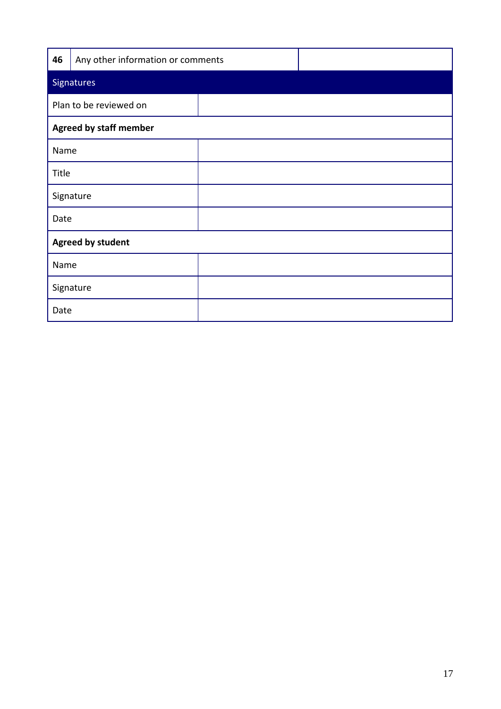| 46   | Any other information or comments |  |  |  |
|------|-----------------------------------|--|--|--|
|      | <b>Signatures</b>                 |  |  |  |
|      | Plan to be reviewed on            |  |  |  |
|      | <b>Agreed by staff member</b>     |  |  |  |
| Name |                                   |  |  |  |
|      | Title                             |  |  |  |
|      | Signature                         |  |  |  |
|      | Date                              |  |  |  |
|      | <b>Agreed by student</b>          |  |  |  |
| Name |                                   |  |  |  |
|      | Signature                         |  |  |  |
| Date |                                   |  |  |  |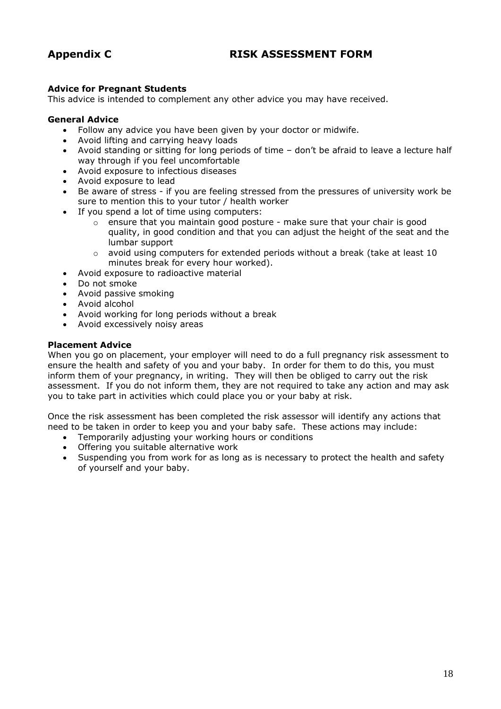### **Appendix C RISK ASSESSMENT FORM**

#### **Advice for Pregnant Students**

This advice is intended to complement any other advice you may have received.

#### **General Advice**

- Follow any advice you have been given by your doctor or midwife.
- Avoid lifting and carrying heavy loads
- Avoid standing or sitting for long periods of time don't be afraid to leave a lecture half way through if you feel uncomfortable
- Avoid exposure to infectious diseases
- Avoid exposure to lead
- Be aware of stress if you are feeling stressed from the pressures of university work be sure to mention this to your tutor / health worker
- If you spend a lot of time using computers:
	- $\circ$  ensure that you maintain good posture make sure that your chair is good quality, in good condition and that you can adjust the height of the seat and the lumbar support
	- $\circ$  avoid using computers for extended periods without a break (take at least 10 minutes break for every hour worked).
- Avoid exposure to radioactive material
- Do not smoke
- Avoid passive smoking
- Avoid alcohol
- Avoid working for long periods without a break
- Avoid excessively noisy areas

#### **Placement Advice**

When you go on placement, your employer will need to do a full pregnancy risk assessment to ensure the health and safety of you and your baby. In order for them to do this, you must inform them of your pregnancy, in writing. They will then be obliged to carry out the risk assessment. If you do not inform them, they are not required to take any action and may ask you to take part in activities which could place you or your baby at risk.

Once the risk assessment has been completed the risk assessor will identify any actions that need to be taken in order to keep you and your baby safe. These actions may include:

- Temporarily adjusting your working hours or conditions
- Offering you suitable alternative work
- Suspending you from work for as long as is necessary to protect the health and safety of yourself and your baby.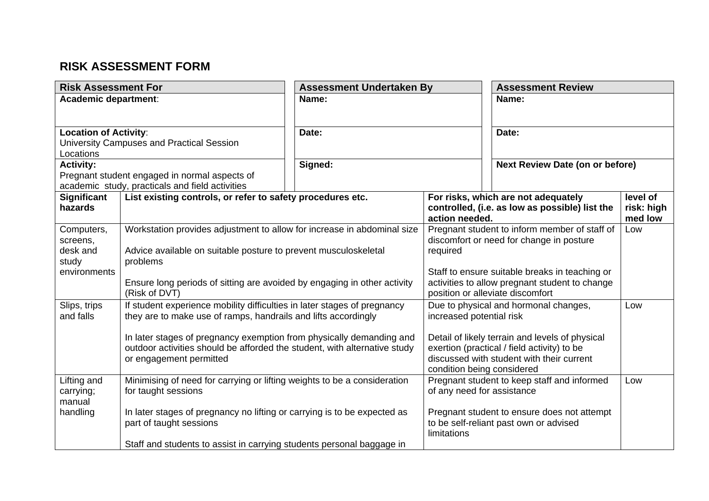## **RISK ASSESSMENT FORM**

| <b>Risk Assessment For</b>   |                                                                             | <b>Assessment Undertaken By</b> |                                  | <b>Assessment Review</b>                        |                       |
|------------------------------|-----------------------------------------------------------------------------|---------------------------------|----------------------------------|-------------------------------------------------|-----------------------|
| Academic department:         |                                                                             | Name:                           |                                  | Name:                                           |                       |
|                              |                                                                             |                                 |                                  |                                                 |                       |
| <b>Location of Activity:</b> |                                                                             | Date:                           |                                  | Date:                                           |                       |
|                              | University Campuses and Practical Session                                   |                                 |                                  |                                                 |                       |
| Locations                    |                                                                             |                                 |                                  |                                                 |                       |
| <b>Activity:</b>             | Pregnant student engaged in normal aspects of                               | Signed:                         |                                  | <b>Next Review Date (on or before)</b>          |                       |
|                              | academic study, practicals and field activities                             |                                 |                                  |                                                 |                       |
| <b>Significant</b>           | List existing controls, or refer to safety procedures etc.                  |                                 |                                  | For risks, which are not adequately             | level of              |
| hazards                      |                                                                             |                                 | action needed.                   | controlled, (i.e. as low as possible) list the  | risk: high<br>med low |
| Computers,                   | Workstation provides adjustment to allow for increase in abdominal size     |                                 |                                  | Pregnant student to inform member of staff of   | Low                   |
| screens,                     |                                                                             |                                 |                                  | discomfort or need for change in posture        |                       |
| desk and<br>study            | Advice available on suitable posture to prevent musculoskeletal<br>problems |                                 | required                         |                                                 |                       |
| environments                 |                                                                             |                                 |                                  | Staff to ensure suitable breaks in teaching or  |                       |
|                              | Ensure long periods of sitting are avoided by engaging in other activity    |                                 |                                  | activities to allow pregnant student to change  |                       |
|                              | (Risk of DVT)                                                               |                                 | position or alleviate discomfort |                                                 |                       |
| Slips, trips                 | If student experience mobility difficulties in later stages of pregnancy    |                                 |                                  | Due to physical and hormonal changes,           | Low                   |
| and falls                    | they are to make use of ramps, handrails and lifts accordingly              |                                 | increased potential risk         |                                                 |                       |
|                              | In later stages of pregnancy exemption from physically demanding and        |                                 |                                  | Detail of likely terrain and levels of physical |                       |
|                              | outdoor activities should be afforded the student, with alternative study   |                                 |                                  | exertion (practical / field activity) to be     |                       |
|                              | or engagement permitted                                                     |                                 |                                  | discussed with student with their current       |                       |
|                              |                                                                             |                                 | condition being considered       |                                                 |                       |
| Lifting and                  | Minimising of need for carrying or lifting weights to be a consideration    |                                 |                                  | Pregnant student to keep staff and informed     | Low                   |
| carrying;<br>manual          | for taught sessions                                                         |                                 | of any need for assistance       |                                                 |                       |
| handling                     | In later stages of pregnancy no lifting or carrying is to be expected as    |                                 |                                  | Pregnant student to ensure does not attempt     |                       |
|                              | part of taught sessions                                                     |                                 |                                  | to be self-reliant past own or advised          |                       |
|                              |                                                                             |                                 | limitations                      |                                                 |                       |
|                              | Staff and students to assist in carrying students personal baggage in       |                                 |                                  |                                                 |                       |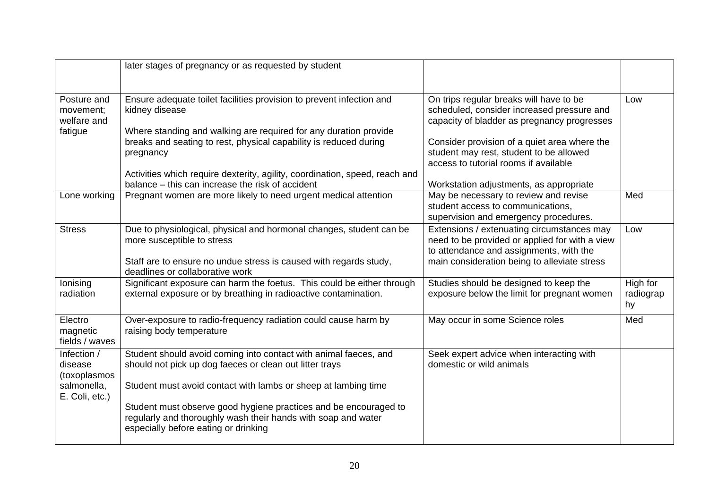|                                                                         | later stages of pregnancy or as requested by student                                                                                                                                                                                                                                                                                                                            |                                                                                                                                                                                                                                                                                                                     |                             |
|-------------------------------------------------------------------------|---------------------------------------------------------------------------------------------------------------------------------------------------------------------------------------------------------------------------------------------------------------------------------------------------------------------------------------------------------------------------------|---------------------------------------------------------------------------------------------------------------------------------------------------------------------------------------------------------------------------------------------------------------------------------------------------------------------|-----------------------------|
| Posture and<br>movement;<br>welfare and<br>fatigue                      | Ensure adequate toilet facilities provision to prevent infection and<br>kidney disease<br>Where standing and walking are required for any duration provide<br>breaks and seating to rest, physical capability is reduced during<br>pregnancy<br>Activities which require dexterity, agility, coordination, speed, reach and<br>balance – this can increase the risk of accident | On trips regular breaks will have to be<br>scheduled, consider increased pressure and<br>capacity of bladder as pregnancy progresses<br>Consider provision of a quiet area where the<br>student may rest, student to be allowed<br>access to tutorial rooms if available<br>Workstation adjustments, as appropriate | Low                         |
| Lone working                                                            | Pregnant women are more likely to need urgent medical attention                                                                                                                                                                                                                                                                                                                 | May be necessary to review and revise<br>student access to communications,<br>supervision and emergency procedures.                                                                                                                                                                                                 | Med                         |
| <b>Stress</b>                                                           | Due to physiological, physical and hormonal changes, student can be<br>more susceptible to stress<br>Staff are to ensure no undue stress is caused with regards study,<br>deadlines or collaborative work                                                                                                                                                                       | Extensions / extenuating circumstances may<br>need to be provided or applied for with a view<br>to attendance and assignments, with the<br>main consideration being to alleviate stress                                                                                                                             | Low                         |
| lonising<br>radiation                                                   | Significant exposure can harm the foetus. This could be either through<br>external exposure or by breathing in radioactive contamination.                                                                                                                                                                                                                                       | Studies should be designed to keep the<br>exposure below the limit for pregnant women                                                                                                                                                                                                                               | High for<br>radiograp<br>hy |
| Electro<br>magnetic<br>fields / waves                                   | Over-exposure to radio-frequency radiation could cause harm by<br>raising body temperature                                                                                                                                                                                                                                                                                      | May occur in some Science roles                                                                                                                                                                                                                                                                                     | Med                         |
| Infection /<br>disease<br>(toxoplasmos<br>salmonella,<br>E. Coli, etc.) | Student should avoid coming into contact with animal faeces, and<br>should not pick up dog faeces or clean out litter trays<br>Student must avoid contact with lambs or sheep at lambing time<br>Student must observe good hygiene practices and be encouraged to<br>regularly and thoroughly wash their hands with soap and water<br>especially before eating or drinking      | Seek expert advice when interacting with<br>domestic or wild animals                                                                                                                                                                                                                                                |                             |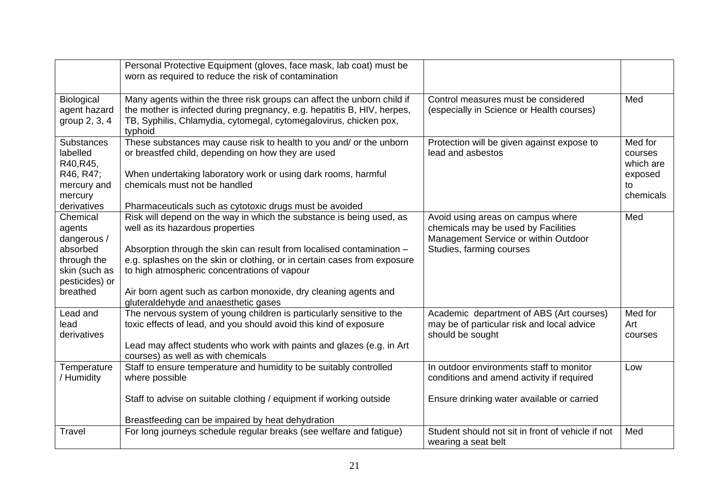|                                                                                                             | Personal Protective Equipment (gloves, face mask, lab coat) must be<br>worn as required to reduce the risk of contamination                                                                                                                                                                                                                                                                                              |                                                                                                                                              |                                                               |
|-------------------------------------------------------------------------------------------------------------|--------------------------------------------------------------------------------------------------------------------------------------------------------------------------------------------------------------------------------------------------------------------------------------------------------------------------------------------------------------------------------------------------------------------------|----------------------------------------------------------------------------------------------------------------------------------------------|---------------------------------------------------------------|
| Biological<br>agent hazard<br>group 2, 3, 4                                                                 | Many agents within the three risk groups can affect the unborn child if<br>the mother is infected during pregnancy, e.g. hepatitis B, HIV, herpes,<br>TB, Syphilis, Chlamydia, cytomegal, cytomegalovirus, chicken pox,<br>typhoid                                                                                                                                                                                       | Control measures must be considered<br>(especially in Science or Health courses)                                                             | Med                                                           |
| <b>Substances</b><br>labelled<br>R40, R45,<br>R46, R47;<br>mercury and<br>mercury<br>derivatives            | These substances may cause risk to health to you and/ or the unborn<br>or breastfed child, depending on how they are used<br>When undertaking laboratory work or using dark rooms, harmful<br>chemicals must not be handled<br>Pharmaceuticals such as cytotoxic drugs must be avoided                                                                                                                                   | Protection will be given against expose to<br>lead and asbestos                                                                              | Med for<br>courses<br>which are<br>exposed<br>to<br>chemicals |
| Chemical<br>agents<br>dangerous /<br>absorbed<br>through the<br>skin (such as<br>pesticides) or<br>breathed | Risk will depend on the way in which the substance is being used, as<br>well as its hazardous properties<br>Absorption through the skin can result from localised contamination -<br>e.g. splashes on the skin or clothing, or in certain cases from exposure<br>to high atmospheric concentrations of vapour<br>Air born agent such as carbon monoxide, dry cleaning agents and<br>gluteraldehyde and anaesthetic gases | Avoid using areas on campus where<br>chemicals may be used by Facilities<br>Management Service or within Outdoor<br>Studies, farming courses | Med                                                           |
| Lead and<br>lead<br>derivatives                                                                             | The nervous system of young children is particularly sensitive to the<br>toxic effects of lead, and you should avoid this kind of exposure<br>Lead may affect students who work with paints and glazes (e.g. in Art<br>courses) as well as with chemicals                                                                                                                                                                | Academic department of ABS (Art courses)<br>may be of particular risk and local advice<br>should be sought                                   | Med for<br>Art<br>courses                                     |
| Temperature<br>/ Humidity                                                                                   | Staff to ensure temperature and humidity to be suitably controlled<br>where possible<br>Staff to advise on suitable clothing / equipment if working outside<br>Breastfeeding can be impaired by heat dehydration                                                                                                                                                                                                         | In outdoor environments staff to monitor<br>conditions and amend activity if required<br>Ensure drinking water available or carried          | Low                                                           |
| Travel                                                                                                      | For long journeys schedule regular breaks (see welfare and fatigue)                                                                                                                                                                                                                                                                                                                                                      | Student should not sit in front of vehicle if not<br>wearing a seat belt                                                                     | Med                                                           |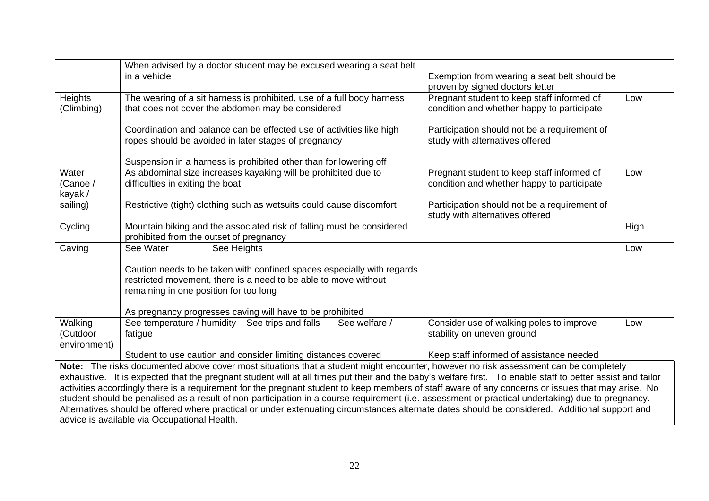|                                     | When advised by a doctor student may be excused wearing a seat belt<br>in a vehicle                                                                                                                                                                                                                                                                                                                                                                                                                                                                                                                                                                                                                                                                                                                            | Exemption from wearing a seat belt should be<br>proven by signed doctors letter          |      |
|-------------------------------------|----------------------------------------------------------------------------------------------------------------------------------------------------------------------------------------------------------------------------------------------------------------------------------------------------------------------------------------------------------------------------------------------------------------------------------------------------------------------------------------------------------------------------------------------------------------------------------------------------------------------------------------------------------------------------------------------------------------------------------------------------------------------------------------------------------------|------------------------------------------------------------------------------------------|------|
| Heights<br>(Climbing)               | The wearing of a sit harness is prohibited, use of a full body harness<br>that does not cover the abdomen may be considered                                                                                                                                                                                                                                                                                                                                                                                                                                                                                                                                                                                                                                                                                    | Pregnant student to keep staff informed of<br>condition and whether happy to participate | Low  |
|                                     | Coordination and balance can be effected use of activities like high<br>ropes should be avoided in later stages of pregnancy                                                                                                                                                                                                                                                                                                                                                                                                                                                                                                                                                                                                                                                                                   | Participation should not be a requirement of<br>study with alternatives offered          |      |
|                                     | Suspension in a harness is prohibited other than for lowering off                                                                                                                                                                                                                                                                                                                                                                                                                                                                                                                                                                                                                                                                                                                                              |                                                                                          |      |
| Water                               | As abdominal size increases kayaking will be prohibited due to                                                                                                                                                                                                                                                                                                                                                                                                                                                                                                                                                                                                                                                                                                                                                 | Pregnant student to keep staff informed of                                               | Low  |
| (Canoe /<br>kayak /                 | difficulties in exiting the boat                                                                                                                                                                                                                                                                                                                                                                                                                                                                                                                                                                                                                                                                                                                                                                               | condition and whether happy to participate                                               |      |
| sailing)                            | Restrictive (tight) clothing such as wetsuits could cause discomfort                                                                                                                                                                                                                                                                                                                                                                                                                                                                                                                                                                                                                                                                                                                                           | Participation should not be a requirement of<br>study with alternatives offered          |      |
| Cycling                             | Mountain biking and the associated risk of falling must be considered<br>prohibited from the outset of pregnancy                                                                                                                                                                                                                                                                                                                                                                                                                                                                                                                                                                                                                                                                                               |                                                                                          | High |
| Caving                              | See Heights<br>See Water                                                                                                                                                                                                                                                                                                                                                                                                                                                                                                                                                                                                                                                                                                                                                                                       |                                                                                          | Low  |
|                                     | Caution needs to be taken with confined spaces especially with regards<br>restricted movement, there is a need to be able to move without<br>remaining in one position for too long                                                                                                                                                                                                                                                                                                                                                                                                                                                                                                                                                                                                                            |                                                                                          |      |
|                                     | As pregnancy progresses caving will have to be prohibited                                                                                                                                                                                                                                                                                                                                                                                                                                                                                                                                                                                                                                                                                                                                                      |                                                                                          |      |
| Walking<br>(Outdoor<br>environment) | See welfare /<br>See temperature / humidity See trips and falls<br>fatigue                                                                                                                                                                                                                                                                                                                                                                                                                                                                                                                                                                                                                                                                                                                                     | Consider use of walking poles to improve<br>stability on uneven ground                   | Low  |
|                                     | Student to use caution and consider limiting distances covered                                                                                                                                                                                                                                                                                                                                                                                                                                                                                                                                                                                                                                                                                                                                                 | Keep staff informed of assistance needed                                                 |      |
|                                     | Note: The risks documented above cover most situations that a student might encounter, however no risk assessment can be completely<br>exhaustive. It is expected that the pregnant student will at all times put their and the baby's welfare first. To enable staff to better assist and tailor<br>activities accordingly there is a requirement for the pregnant student to keep members of staff aware of any concerns or issues that may arise. No<br>student should be penalised as a result of non-participation in a course requirement (i.e. assessment or practical undertaking) due to pregnancy.<br>Alternatives should be offered where practical or under extenuating circumstances alternate dates should be considered. Additional support and<br>advice is available via Occupational Health. |                                                                                          |      |